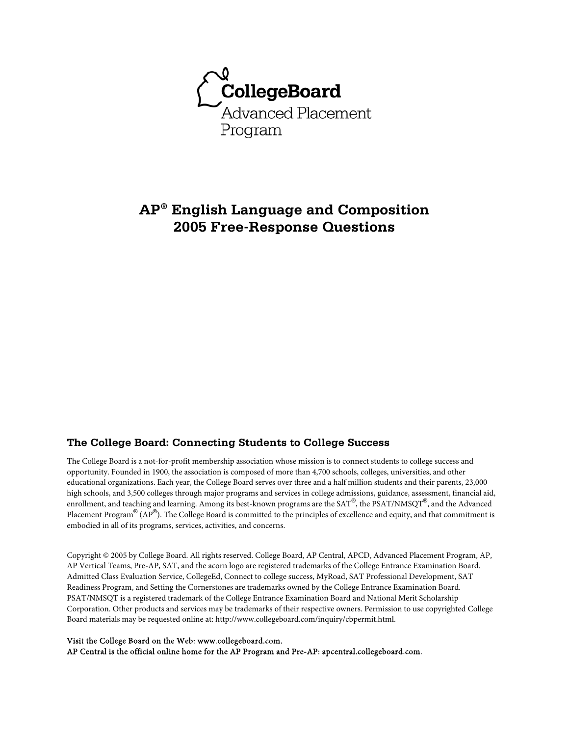

# **AP® English Language and Composition 2005 Free-Response Questions**

### **The College Board: Connecting Students to College Success**

The College Board is a not-for-profit membership association whose mission is to connect students to college success and opportunity. Founded in 1900, the association is composed of more than 4,700 schools, colleges, universities, and other educational organizations. Each year, the College Board serves over three and a half million students and their parents, 23,000 high schools, and 3,500 colleges through major programs and services in college admissions, guidance, assessment, financial aid, enrollment, and teaching and learning. Among its best-known programs are the SAT®, the PSAT/NMSQT®, and the Advanced Placement Program $^\circledR$  (AP $^\circledR$ ). The College Board is committed to the principles of excellence and equity, and that commitment is embodied in all of its programs, services, activities, and concerns.

Copyright © 2005 by College Board. All rights reserved. College Board, AP Central, APCD, Advanced Placement Program, AP, AP Vertical Teams, Pre-AP, SAT, and the acorn logo are registered trademarks of the College Entrance Examination Board. Admitted Class Evaluation Service, CollegeEd, Connect to college success, MyRoad, SAT Professional Development, SAT Readiness Program, and Setting the Cornerstones are trademarks owned by the College Entrance Examination Board. PSAT/NMSQT is a registered trademark of the College Entrance Examination Board and National Merit Scholarship Corporation. Other products and services may be trademarks of their respective owners. Permission to use copyrighted College Board materials may be requested online at: http://www.collegeboard.com/inquiry/cbpermit.html.

#### Visit the College Board on the Web: www.collegeboard.com.

AP Central is the official online home for the AP Program and Pre-AP: apcentral.collegeboard.com.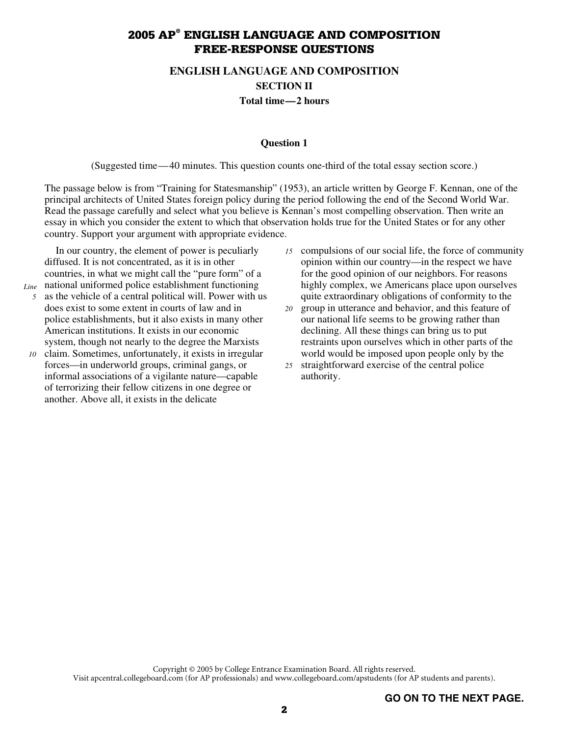## **2005 AP® ENGLISH LANGUAGE AND COMPOSITION FREE-RESPONSE QUESTIONS**

### **ENGLISH LANGUAGE AND COMPOSITION SECTION II Total time—2 hours**

#### **Question 1**

(Suggested time—40 minutes. This question counts one-third of the total essay section score.)

The passage below is from "Training for Statesmanship" (1953), an article written by George F. Kennan, one of the principal architects of United States foreign policy during the period following the end of the Second World War. Read the passage carefully and select what you believe is Kennan's most compelling observation. Then write an essay in which you consider the extent to which that observation holds true for the United States or for any other country. Support your argument with appropriate evidence.

In our country, the element of power is peculiarly diffused. It is not concentrated, as it is in other countries, in what we might call the "pure form" of a national uniformed police establishment functioning

*5* as the vehicle of a central political will. Power with us does exist to some extent in courts of law and in police establishments, but it also exists in many other American institutions. It exists in our economic system, though not nearly to the degree the Marxists

*Line*

- *10* claim. Sometimes, unfortunately, it exists in irregular forces—in underworld groups, criminal gangs, or informal associations of a vigilante nature—capable of terrorizing their fellow citizens in one degree or another. Above all, it exists in the delicate
- *15* compulsions of our social life, the force of community opinion within our country—in the respect we have for the good opinion of our neighbors. For reasons highly complex, we Americans place upon ourselves quite extraordinary obligations of conformity to the
- *20* group in utterance and behavior, and this feature of our national life seems to be growing rather than declining. All these things can bring us to put restraints upon ourselves which in other parts of the world would be imposed upon people only by the
- *25* straightforward exercise of the central police authority.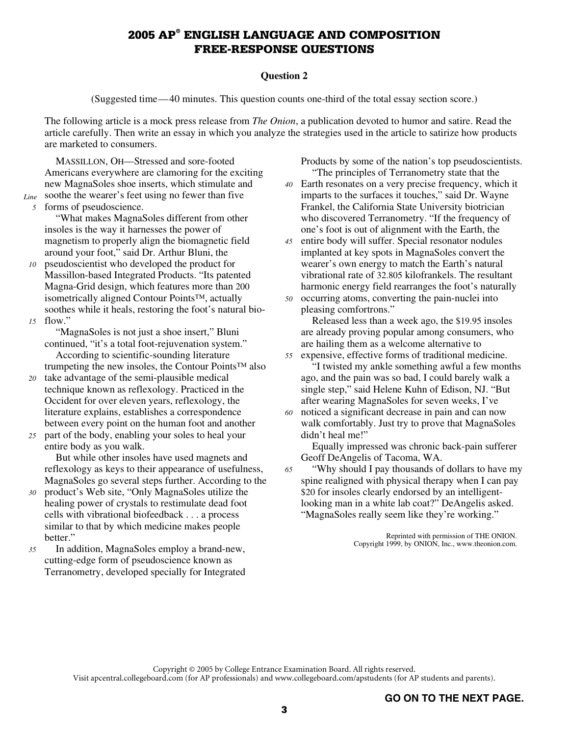## **2005 AP® ENGLISH LANGUAGE AND COMPOSITION FREE-RESPONSE QUESTIONS**

#### **Question 2**

(Suggested time—40 minutes. This question counts one-third of the total essay section score.)

The following article is a mock press release from *The Onion*, a publication devoted to humor and satire. Read the article carefully. Then write an essay in which you analyze the strategies used in the article to satirize how products are marketed to consumers.

MASSILLON, OH—Stressed and sore-footed Americans everywhere are clamoring for the exciting new MagnaSoles shoe inserts, which stimulate and soothe the wearer's feet using no fewer than five

*5* forms of pseudoscience.

*Line*

"What makes MagnaSoles different from other insoles is the way it harnesses the power of magnetism to properly align the biomagnetic field around your foot," said Dr. Arthur Bluni, the

*10* pseudoscientist who developed the product for Massillon-based Integrated Products. "Its patented Magna-Grid design, which features more than 200 isometrically aligned Contour Points™, actually soothes while it heals, restoring the foot's natural bio-*15* flow."

"MagnaSoles is not just a shoe insert," Bluni continued, "it's a total foot-rejuvenation system." According to scientific-sounding literature

trumpeting the new insoles, the Contour Points™ also *20* take advantage of the semi-plausible medical

- technique known as reflexology. Practiced in the Occident for over eleven years, reflexology, the literature explains, establishes a correspondence between every point on the human foot and another
- *25* part of the body, enabling your soles to heal your entire body as you walk.

But while other insoles have used magnets and reflexology as keys to their appearance of usefulness, MagnaSoles go several steps further. According to the

- *30* product's Web site, "Only MagnaSoles utilize the healing power of crystals to restimulate dead foot cells with vibrational biofeedback . . . a process similar to that by which medicine makes people better."
- *35* In addition, MagnaSoles employ a brand-new, cutting-edge form of pseudoscience known as Terranometry, developed specially for Integrated

Products by some of the nation's top pseudoscientists. "The principles of Terranometry state that the

- *40* Earth resonates on a very precise frequency, which it imparts to the surfaces it touches," said Dr. Wayne Frankel, the California State University biotrician who discovered Terranometry. "If the frequency of one's foot is out of alignment with the Earth, the
- *45* entire body will suffer. Special resonator nodules implanted at key spots in MagnaSoles convert the wearer's own energy to match the Earth's natural vibrational rate of 32.805 kilofrankels. The resultant harmonic energy field rearranges the foot's naturally
- *50* occurring atoms, converting the pain-nuclei into pleasing comfortrons."

Released less than a week ago, the \$19.95 insoles are already proving popular among consumers, who are hailing them as a welcome alternative to

*55* expensive, effective forms of traditional medicine. "I twisted my ankle something awful a few months ago, and the pain was so bad, I could barely walk a single step," said Helene Kuhn of Edison, NJ. "But after wearing MagnaSoles for seven weeks, I've

*60* noticed a significant decrease in pain and can now walk comfortably. Just try to prove that MagnaSoles didn't heal me!"

Equally impressed was chronic back-pain sufferer Geoff DeAngelis of Tacoma, WA.

*65* "Why should I pay thousands of dollars to have my spine realigned with physical therapy when I can pay \$20 for insoles clearly endorsed by an intelligentlooking man in a white lab coat?" DeAngelis asked. "MagnaSoles really seem like they're working."

> Reprinted with permission of THE ONION. Copyright 1999, by ONION, Inc., www.theonion.com.